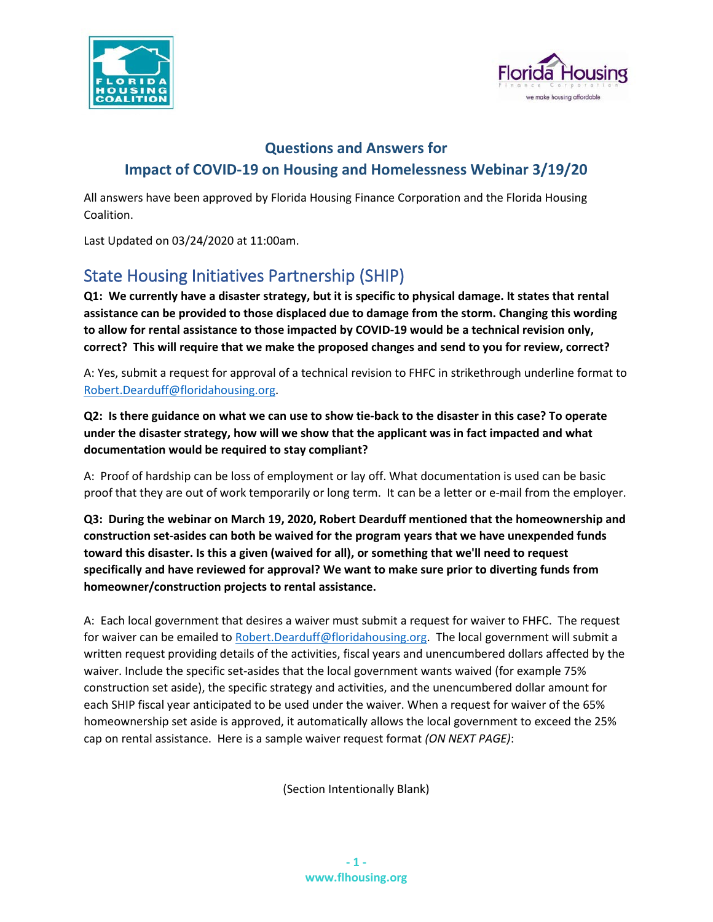



## **Questions and Answers for Impact of COVID-19 on Housing and Homelessness Webinar 3/19/20**

All answers have been approved by Florida Housing Finance Corporation and the Florida Housing Coalition.

Last Updated on 03/24/2020 at 11:00am.

# State Housing Initiatives Partnership (SHIP)

**Q1: We currently have a disaster strategy, but it is specific to physical damage. It states that rental assistance can be provided to those displaced due to damage from the storm. Changing this wording to allow for rental assistance to those impacted by COVID-19 would be a technical revision only, correct? This will require that we make the proposed changes and send to you for review, correct?**

A: Yes, submit a request for approval of a technical revision to FHFC in strikethrough underline format to [Robert.Dearduff@floridahousing.org.](mailto:Robert.Dearduff@floridahousing.org)

## **Q2: Is there guidance on what we can use to show tie-back to the disaster in this case? To operate under the disaster strategy, how will we show that the applicant was in fact impacted and what documentation would be required to stay compliant?**

A: Proof of hardship can be loss of employment or lay off. What documentation is used can be basic proof that they are out of work temporarily or long term. It can be a letter or e-mail from the employer.

**Q3: During the webinar on March 19, 2020, Robert Dearduff mentioned that the homeownership and construction set-asides can both be waived for the program years that we have unexpended funds toward this disaster. Is this a given (waived for all), or something that we'll need to request specifically and have reviewed for approval? We want to make sure prior to diverting funds from homeowner/construction projects to rental assistance.**

A: Each local government that desires a waiver must submit a request for waiver to FHFC. The request for waiver can be emailed to [Robert.Dearduff@floridahousing.org.](mailto:Robert.Dearduff@floridahousing.org) The local government will submit a written request providing details of the activities, fiscal years and unencumbered dollars affected by the waiver. Include the specific set-asides that the local government wants waived (for example 75% construction set aside), the specific strategy and activities, and the unencumbered dollar amount for each SHIP fiscal year anticipated to be used under the waiver. When a request for waiver of the 65% homeownership set aside is approved, it automatically allows the local government to exceed the 25% cap on rental assistance. Here is a sample waiver request format *(ON NEXT PAGE)*:

(Section Intentionally Blank)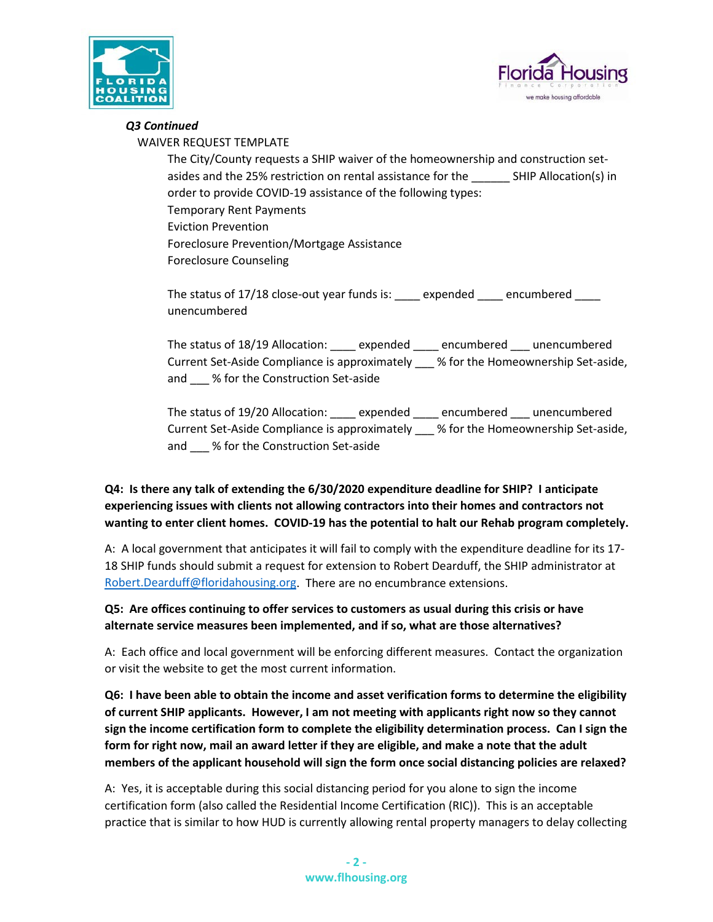



#### *Q3 Continued*

WAIVER REQUEST TEMPLATE

The City/County requests a SHIP waiver of the homeownership and construction setasides and the 25% restriction on rental assistance for the \_\_\_\_\_\_ SHIP Allocation(s) in order to provide COVID-19 assistance of the following types: Temporary Rent Payments Eviction Prevention Foreclosure Prevention/Mortgage Assistance Foreclosure Counseling

The status of 17/18 close-out year funds is: \_\_\_\_ expended \_\_\_\_ encumbered \_\_\_\_ unencumbered

The status of 18/19 Allocation: \_\_\_\_ expended \_\_\_\_ encumbered \_\_\_ unencumbered Current Set-Aside Compliance is approximately \_\_\_ % for the Homeownership Set-aside, and % for the Construction Set-aside

The status of 19/20 Allocation: \_\_\_\_ expended \_\_\_\_ encumbered \_\_\_ unencumbered Current Set-Aside Compliance is approximately \_\_\_ % for the Homeownership Set-aside, and \_\_\_ % for the Construction Set-aside

## **Q4: Is there any talk of extending the 6/30/2020 expenditure deadline for SHIP? I anticipate experiencing issues with clients not allowing contractors into their homes and contractors not wanting to enter client homes. COVID-19 has the potential to halt our Rehab program completely.**

A: A local government that anticipates it will fail to comply with the expenditure deadline for its 17- 18 SHIP funds should submit a request for extension to Robert Dearduff, the SHIP administrator at [Robert.Dearduff@floridahousing.org.](mailto:Robert.Dearduff@floridahousing.org) There are no encumbrance extensions.

**Q5: Are offices continuing to offer services to customers as usual during this crisis or have alternate service measures been implemented, and if so, what are those alternatives?**

A: Each office and local government will be enforcing different measures. Contact the organization or visit the website to get the most current information.

**Q6: I have been able to obtain the income and asset verification forms to determine the eligibility of current SHIP applicants. However, I am not meeting with applicants right now so they cannot sign the income certification form to complete the eligibility determination process. Can I sign the form for right now, mail an award letter if they are eligible, and make a note that the adult members of the applicant household will sign the form once social distancing policies are relaxed?** 

A: Yes, it is acceptable during this social distancing period for you alone to sign the income certification form (also called the Residential Income Certification (RIC)). This is an acceptable practice that is similar to how HUD is currently allowing rental property managers to delay collecting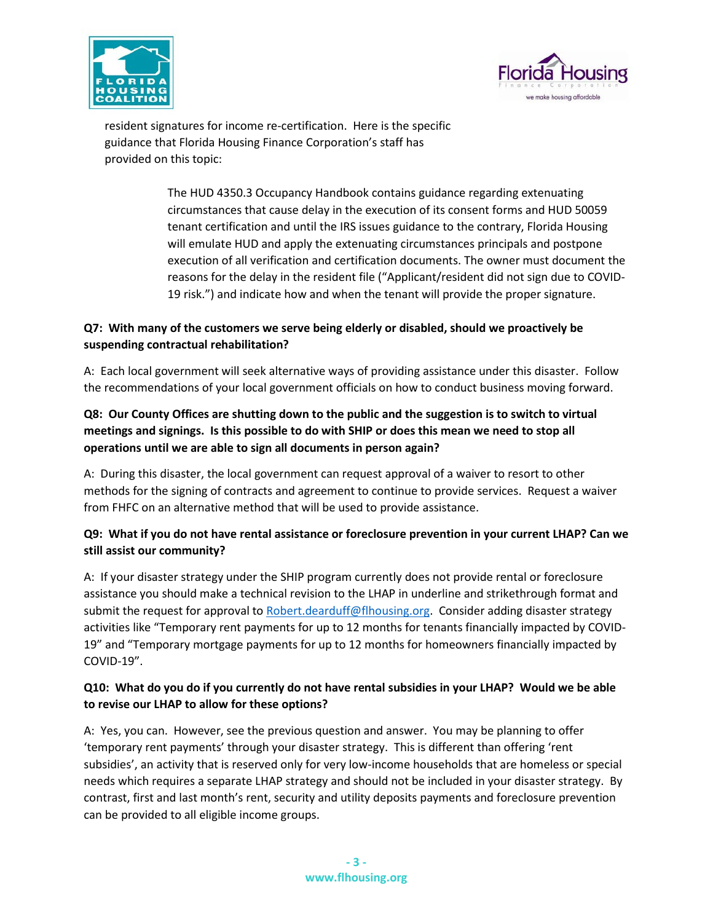



resident signatures for income re-certification. Here is the specific guidance that Florida Housing Finance Corporation's staff has provided on this topic:

> The HUD 4350.3 Occupancy Handbook contains guidance regarding extenuating circumstances that cause delay in the execution of its consent forms and HUD 50059 tenant certification and until the IRS issues guidance to the contrary, Florida Housing will emulate HUD and apply the extenuating circumstances principals and postpone execution of all verification and certification documents. The owner must document the reasons for the delay in the resident file ("Applicant/resident did not sign due to COVID-19 risk.") and indicate how and when the tenant will provide the proper signature.

## **Q7: With many of the customers we serve being elderly or disabled, should we proactively be suspending contractual rehabilitation?**

A: Each local government will seek alternative ways of providing assistance under this disaster. Follow the recommendations of your local government officials on how to conduct business moving forward.

## **Q8: Our County Offices are shutting down to the public and the suggestion is to switch to virtual meetings and signings. Is this possible to do with SHIP or does this mean we need to stop all operations until we are able to sign all documents in person again?**

A: During this disaster, the local government can request approval of a waiver to resort to other methods for the signing of contracts and agreement to continue to provide services. Request a waiver from FHFC on an alternative method that will be used to provide assistance.

## **Q9: What if you do not have rental assistance or foreclosure prevention in your current LHAP? Can we still assist our community?**

A: If your disaster strategy under the SHIP program currently does not provide rental or foreclosure assistance you should make a technical revision to the LHAP in underline and strikethrough format and submit the request for approval t[o Robert.dearduff@flhousing.org.](mailto:Robert.dearduff@flhousing.org) Consider adding disaster strategy activities like "Temporary rent payments for up to 12 months for tenants financially impacted by COVID-19" and "Temporary mortgage payments for up to 12 months for homeowners financially impacted by COVID-19".

## **Q10: What do you do if you currently do not have rental subsidies in your LHAP? Would we be able to revise our LHAP to allow for these options?**

A: Yes, you can. However, see the previous question and answer. You may be planning to offer 'temporary rent payments' through your disaster strategy. This is different than offering 'rent subsidies', an activity that is reserved only for very low-income households that are homeless or special needs which requires a separate LHAP strategy and should not be included in your disaster strategy. By contrast, first and last month's rent, security and utility deposits payments and foreclosure prevention can be provided to all eligible income groups.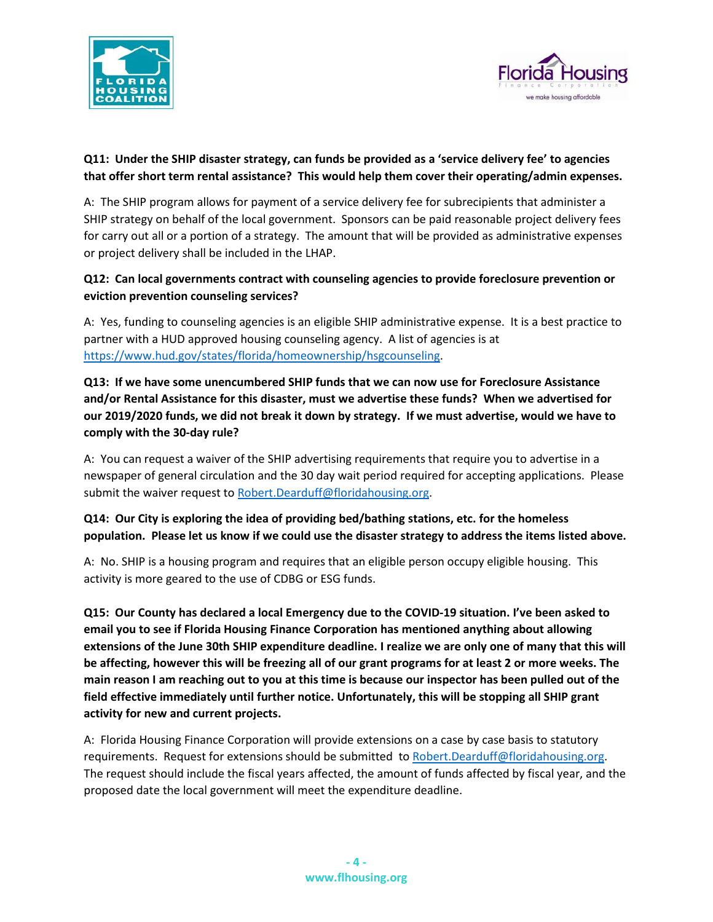



## **Q11: Under the SHIP disaster strategy, can funds be provided as a 'service delivery fee' to agencies that offer short term rental assistance? This would help them cover their operating/admin expenses.**

A: The SHIP program allows for payment of a service delivery fee for subrecipients that administer a SHIP strategy on behalf of the local government. Sponsors can be paid reasonable project delivery fees for carry out all or a portion of a strategy. The amount that will be provided as administrative expenses or project delivery shall be included in the LHAP.

## **Q12: Can local governments contract with counseling agencies to provide foreclosure prevention or eviction prevention counseling services?**

A: Yes, funding to counseling agencies is an eligible SHIP administrative expense. It is a best practice to partner with a HUD approved housing counseling agency. A list of agencies is at [https://www.hud.gov/states/florida/homeownership/hsgcounseling.](https://www.hud.gov/states/florida/homeownership/hsgcounseling)

**Q13: If we have some unencumbered SHIP funds that we can now use for Foreclosure Assistance and/or Rental Assistance for this disaster, must we advertise these funds? When we advertised for our 2019/2020 funds, we did not break it down by strategy. If we must advertise, would we have to comply with the 30-day rule?**

A: You can request a waiver of the SHIP advertising requirements that require you to advertise in a newspaper of general circulation and the 30 day wait period required for accepting applications. Please submit the waiver request to [Robert.Dearduff@floridahousing.org.](mailto:Robert.Dearduff@floridahousing.org)

## **Q14: Our City is exploring the idea of providing bed/bathing stations, etc. for the homeless population. Please let us know if we could use the disaster strategy to address the items listed above.**

A: No. SHIP is a housing program and requires that an eligible person occupy eligible housing. This activity is more geared to the use of CDBG or ESG funds.

**Q15: Our County has declared a local Emergency due to the COVID-19 situation. I've been asked to email you to see if Florida Housing Finance Corporation has mentioned anything about allowing extensions of the June 30th SHIP expenditure deadline. I realize we are only one of many that this will be affecting, however this will be freezing all of our grant programs for at least 2 or more weeks. The main reason I am reaching out to you at this time is because our inspector has been pulled out of the field effective immediately until further notice. Unfortunately, this will be stopping all SHIP grant activity for new and current projects.**

A: Florida Housing Finance Corporation will provide extensions on a case by case basis to statutory requirements. Request for extensions should be submitted to [Robert.Dearduff@floridahousing.org.](mailto:Robert.Dearduff@floridahousing.org) The request should include the fiscal years affected, the amount of funds affected by fiscal year, and the proposed date the local government will meet the expenditure deadline.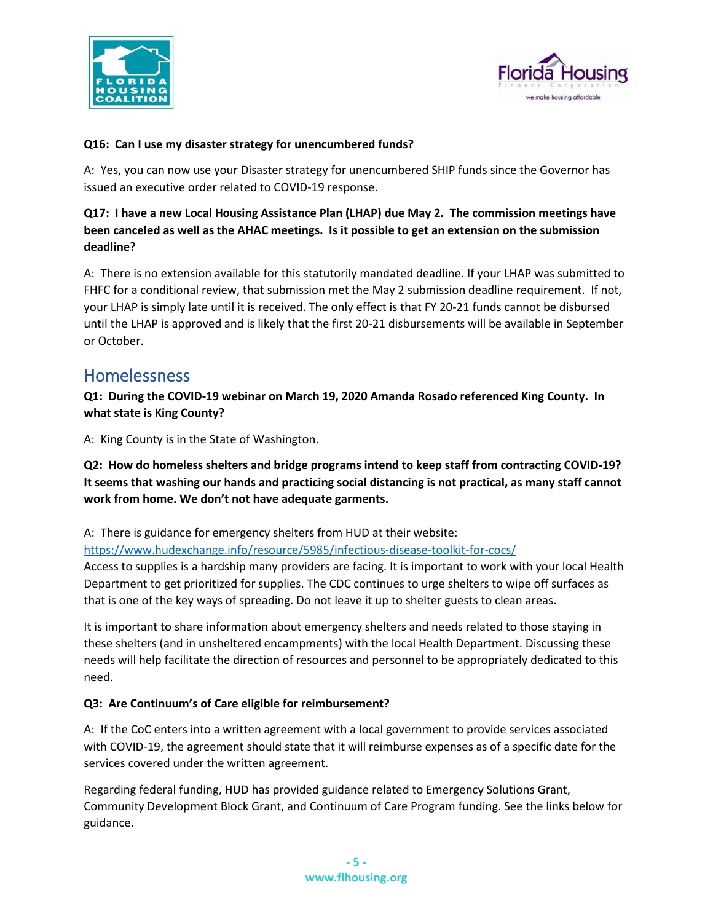



#### **Q16: Can I use my disaster strategy for unencumbered funds?**

A: Yes, you can now use your Disaster strategy for unencumbered SHIP funds since the Governor has issued an executive order related to COVID-19 response.

## **Q17: I have a new Local Housing Assistance Plan (LHAP) due May 2. The commission meetings have been canceled as well as the AHAC meetings. Is it possible to get an extension on the submission deadline?**

A: There is no extension available for this statutorily mandated deadline. If your LHAP was submitted to FHFC for a conditional review, that submission met the May 2 submission deadline requirement. If not, your LHAP is simply late until it is received. The only effect is that FY 20-21 funds cannot be disbursed until the LHAP is approved and is likely that the first 20-21 disbursements will be available in September or October.

## Homelessness

**Q1: During the COVID-19 webinar on March 19, 2020 Amanda Rosado referenced King County. In what state is King County?**

A: King County is in the State of Washington.

**Q2: How do homeless shelters and bridge programs intend to keep staff from contracting COVID-19? It seems that washing our hands and practicing social distancing is not practical, as many staff cannot work from home. We don't not have adequate garments.**

A: There is guidance for emergency shelters from HUD at their website:

<https://www.hudexchange.info/resource/5985/infectious-disease-toolkit-for-cocs/>

Access to supplies is a hardship many providers are facing. It is important to work with your local Health Department to get prioritized for supplies. The CDC continues to urge shelters to wipe off surfaces as that is one of the key ways of spreading. Do not leave it up to shelter guests to clean areas.

It is important to share information about emergency shelters and needs related to those staying in these shelters (and in unsheltered encampments) with the local Health Department. Discussing these needs will help facilitate the direction of resources and personnel to be appropriately dedicated to this need.

#### **Q3: Are Continuum's of Care eligible for reimbursement?**

A: If the CoC enters into a written agreement with a local government to provide services associated with COVID-19, the agreement should state that it will reimburse expenses as of a specific date for the services covered under the written agreement.

Regarding federal funding, HUD has provided guidance related to Emergency Solutions Grant, Community Development Block Grant, and Continuum of Care Program funding. See the links below for guidance.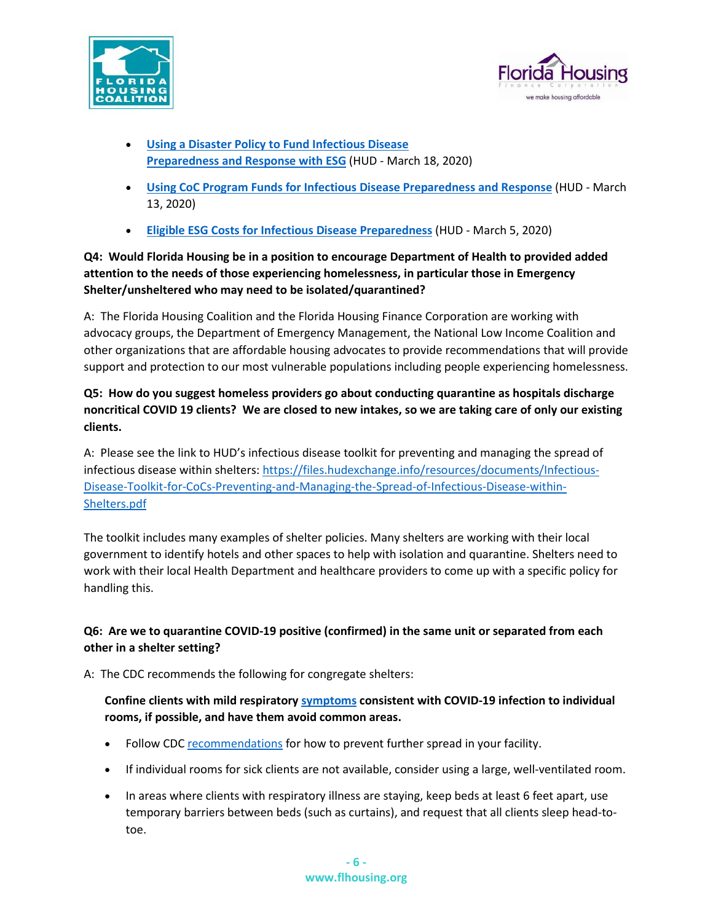



- **[Using a Disaster Policy to Fund Infectious Disease](https://files.hudexchange.info/resources/documents/Using-a-Disaster-Policy-to-Fund-Infectious-Disease-Preparedness-and-Response-with-ESG.pdf)  [Preparedness and Response with ESG](https://files.hudexchange.info/resources/documents/Using-a-Disaster-Policy-to-Fund-Infectious-Disease-Preparedness-and-Response-with-ESG.pdf)** (HUD - March 18, 2020)
- **[Using CoC Program Funds for Infectious Disease Preparedness and Response](https://files.hudexchange.info/resources/documents/Using-CoC-Program-Funds-for-Infectious-Disease-Preparedness-and-Response.pdf)** (HUD March 13, 2020)
- **[Eligible ESG Costs for Infectious Disease Preparedness](https://files.hudexchange.info/resources/documents/Eligible-ESG-Program-Costs-for-Infectious-Disease-Preparedness.pdf)** (HUD March 5, 2020)

## **Q4: Would Florida Housing be in a position to encourage Department of Health to provided added attention to the needs of those experiencing homelessness, in particular those in Emergency Shelter/unsheltered who may need to be isolated/quarantined?**

A: The Florida Housing Coalition and the Florida Housing Finance Corporation are working with advocacy groups, the Department of Emergency Management, the National Low Income Coalition and other organizations that are affordable housing advocates to provide recommendations that will provide support and protection to our most vulnerable populations including people experiencing homelessness.

## **Q5: How do you suggest homeless providers go about conducting quarantine as hospitals discharge noncritical COVID 19 clients? We are closed to new intakes, so we are taking care of only our existing clients.**

A: Please see the link to HUD's infectious disease toolkit for preventing and managing the spread of infectious disease within shelters[: https://files.hudexchange.info/resources/documents/Infectious-](https://files.hudexchange.info/resources/documents/Infectious-Disease-Toolkit-for-CoCs-Preventing-and-Managing-the-Spread-of-Infectious-Disease-within-Shelters.pdf)[Disease-Toolkit-for-CoCs-Preventing-and-Managing-the-Spread-of-Infectious-Disease-within-](https://files.hudexchange.info/resources/documents/Infectious-Disease-Toolkit-for-CoCs-Preventing-and-Managing-the-Spread-of-Infectious-Disease-within-Shelters.pdf)[Shelters.pdf](https://files.hudexchange.info/resources/documents/Infectious-Disease-Toolkit-for-CoCs-Preventing-and-Managing-the-Spread-of-Infectious-Disease-within-Shelters.pdf)

The toolkit includes many examples of shelter policies. Many shelters are working with their local government to identify hotels and other spaces to help with isolation and quarantine. Shelters need to work with their local Health Department and healthcare providers to come up with a specific policy for handling this.

## **Q6: Are we to quarantine COVID-19 positive (confirmed) in the same unit or separated from each other in a shelter setting?**

A: The CDC recommends the following for congregate shelters:

## **Confine clients with mild respiratory [symptoms](https://www.cdc.gov/coronavirus/2019-ncov/about/symptoms.html) consistent with COVID-19 infection to individual rooms, if possible, and have them avoid common areas.**

- Follow CDC [recommendations](https://www.cdc.gov/coronavirus/2019-ncov/community/organizations/cleaning-disinfection.html) for how to prevent further spread in your facility.
- If individual rooms for sick clients are not available, consider using a large, well-ventilated room.
- In areas where clients with respiratory illness are staying, keep beds at least 6 feet apart, use temporary barriers between beds (such as curtains), and request that all clients sleep head-totoe.